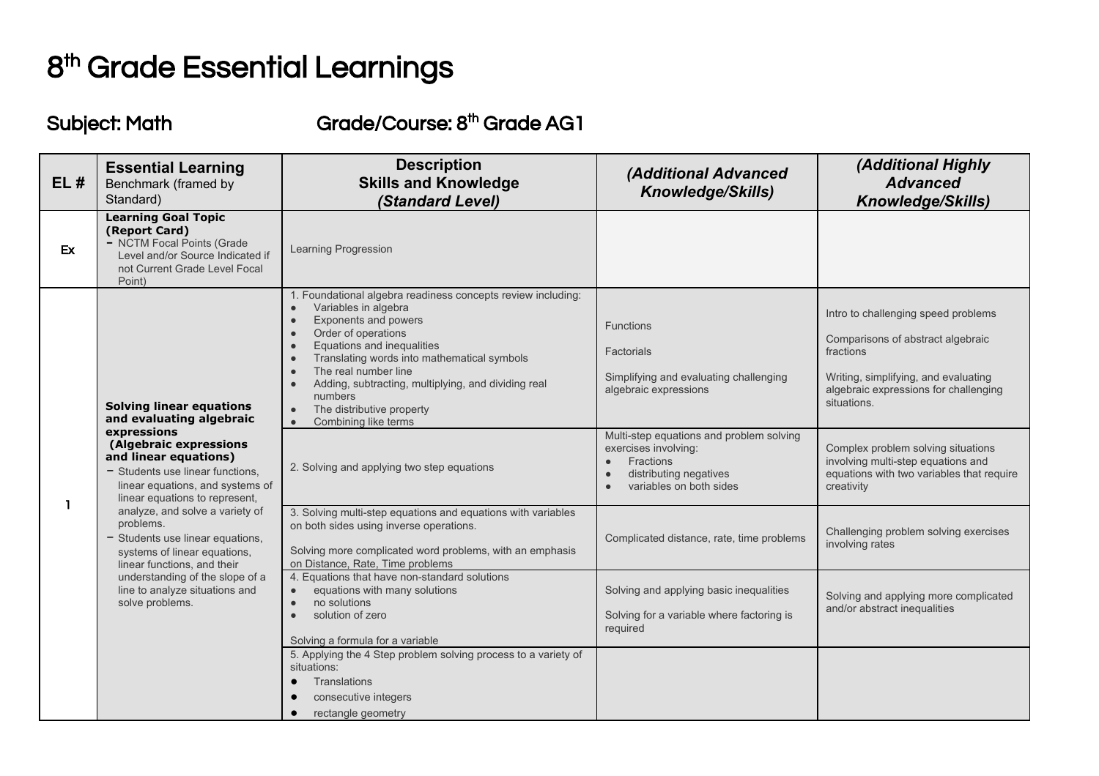## 8<sup>th</sup> Grade Essential Learnings

## Subject: Math Grade/Course: 8<sup>th</sup> Grade AG1

| EL# | <b>Essential Learning</b><br>Benchmark (framed by<br>Standard)                                                                                                                                                                                                                                                                                                                                                                                                                       | <b>Description</b><br><b>Skills and Knowledge</b><br>(Standard Level)                                                                                                                                                                                                                                                                                                                                               | <b>(Additional Advanced</b><br><b>Knowledge/Skills)</b>                                                                                         | (Additional Highly<br><b>Advanced</b><br><b>Knowledge/Skills)</b>                                                                                                                     |
|-----|--------------------------------------------------------------------------------------------------------------------------------------------------------------------------------------------------------------------------------------------------------------------------------------------------------------------------------------------------------------------------------------------------------------------------------------------------------------------------------------|---------------------------------------------------------------------------------------------------------------------------------------------------------------------------------------------------------------------------------------------------------------------------------------------------------------------------------------------------------------------------------------------------------------------|-------------------------------------------------------------------------------------------------------------------------------------------------|---------------------------------------------------------------------------------------------------------------------------------------------------------------------------------------|
| Ex  | <b>Learning Goal Topic</b><br>(Report Card)<br>- NCTM Focal Points (Grade<br>Level and/or Source Indicated if<br>not Current Grade Level Focal<br>Point)                                                                                                                                                                                                                                                                                                                             | Learning Progression                                                                                                                                                                                                                                                                                                                                                                                                |                                                                                                                                                 |                                                                                                                                                                                       |
|     | <b>Solving linear equations</b><br>and evaluating algebraic<br>expressions<br>(Algebraic expressions<br>and linear equations)<br>- Students use linear functions,<br>linear equations, and systems of<br>linear equations to represent,<br>analyze, and solve a variety of<br>problems.<br>$-$ Students use linear equations.<br>systems of linear equations,<br>linear functions, and their<br>understanding of the slope of a<br>line to analyze situations and<br>solve problems. | 1. Foundational algebra readiness concepts review including:<br>Variables in algebra<br>$\bullet$<br>Exponents and powers<br>$\bullet$<br>Order of operations<br>$\bullet$<br>Equations and inequalities<br>Translating words into mathematical symbols<br>The real number line<br>Adding, subtracting, multiplying, and dividing real<br>numbers<br>The distributive property<br>$\bullet$<br>Combining like terms | <b>Functions</b><br>Factorials<br>Simplifying and evaluating challenging<br>algebraic expressions                                               | Intro to challenging speed problems<br>Comparisons of abstract algebraic<br>fractions<br>Writing, simplifying, and evaluating<br>algebraic expressions for challenging<br>situations. |
|     |                                                                                                                                                                                                                                                                                                                                                                                                                                                                                      | 2. Solving and applying two step equations                                                                                                                                                                                                                                                                                                                                                                          | Multi-step equations and problem solving<br>exercises involving:<br>Fractions<br>$\bullet$<br>distributing negatives<br>variables on both sides | Complex problem solving situations<br>involving multi-step equations and<br>equations with two variables that require<br>creativity                                                   |
|     |                                                                                                                                                                                                                                                                                                                                                                                                                                                                                      | 3. Solving multi-step equations and equations with variables<br>on both sides using inverse operations.<br>Solving more complicated word problems, with an emphasis<br>on Distance, Rate, Time problems                                                                                                                                                                                                             | Complicated distance, rate, time problems                                                                                                       | Challenging problem solving exercises<br>involving rates                                                                                                                              |
|     |                                                                                                                                                                                                                                                                                                                                                                                                                                                                                      | 4. Equations that have non-standard solutions<br>equations with many solutions<br>$\bullet$<br>no solutions<br>$\bullet$<br>solution of zero<br>$\bullet$<br>Solving a formula for a variable                                                                                                                                                                                                                       | Solving and applying basic inequalities<br>Solving for a variable where factoring is<br>required                                                | Solving and applying more complicated<br>and/or abstract inequalities                                                                                                                 |
|     |                                                                                                                                                                                                                                                                                                                                                                                                                                                                                      | 5. Applying the 4 Step problem solving process to a variety of<br>situations:<br><b>Translations</b><br>consecutive integers<br>rectangle geometry                                                                                                                                                                                                                                                                  |                                                                                                                                                 |                                                                                                                                                                                       |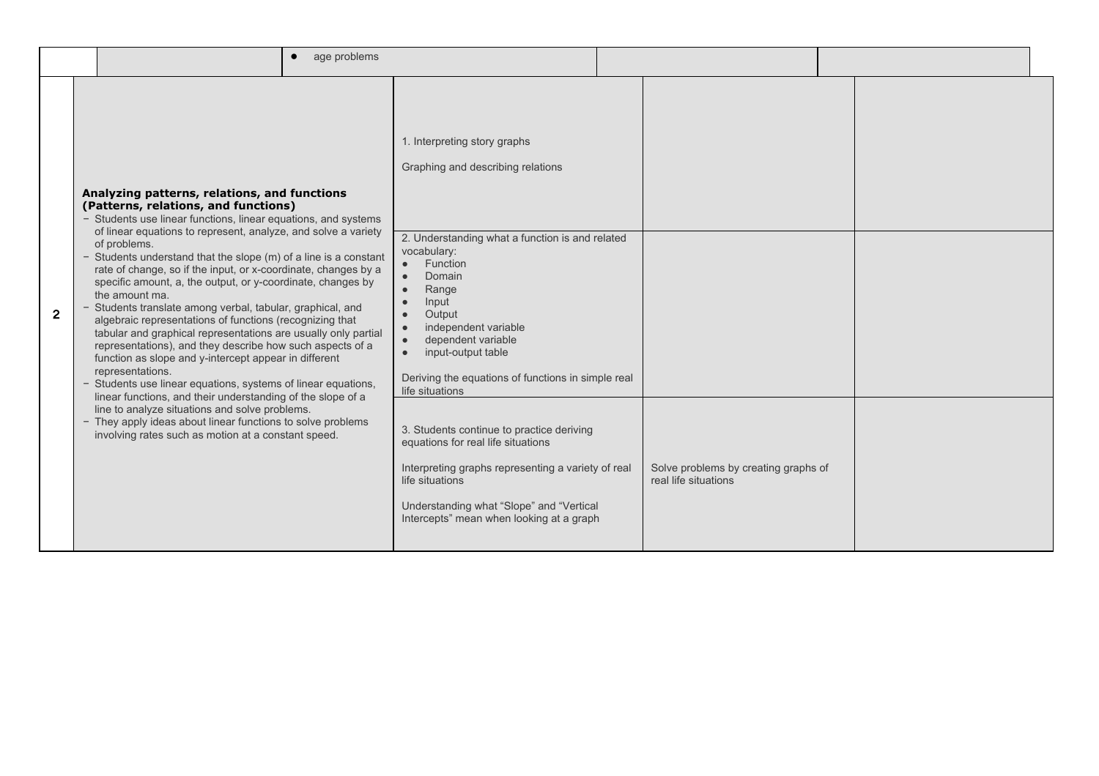|                | age problems                                                                                                                                                                                                                                                                                                                                                                                                                                                      |                                                                                                                                                                                                                                                  |                                                              |  |
|----------------|-------------------------------------------------------------------------------------------------------------------------------------------------------------------------------------------------------------------------------------------------------------------------------------------------------------------------------------------------------------------------------------------------------------------------------------------------------------------|--------------------------------------------------------------------------------------------------------------------------------------------------------------------------------------------------------------------------------------------------|--------------------------------------------------------------|--|
|                | Analyzing patterns, relations, and functions<br>(Patterns, relations, and functions)<br>- Students use linear functions, linear equations, and systems<br>of linear equations to represent, analyze, and solve a variety<br>of problems.<br>- Students understand that the slope $(m)$ of a line is a constant<br>rate of change, so if the input, or x-coordinate, changes by a<br>specific amount, a, the output, or y-coordinate, changes by<br>the amount ma. | 1. Interpreting story graphs<br>Graphing and describing relations<br>2. Understanding what a function is and related<br>vocabulary:<br>Function<br>$\bullet$<br>Domain<br>$\bullet$<br>Range<br>$\bullet$                                        |                                                              |  |
| $\overline{2}$ | - Students translate among verbal, tabular, graphical, and<br>algebraic representations of functions (recognizing that<br>tabular and graphical representations are usually only partial<br>representations), and they describe how such aspects of a<br>function as slope and y-intercept appear in different<br>representations.<br>- Students use linear equations, systems of linear equations,                                                               | Input<br>$\bullet$<br>Output<br>$\bullet$<br>independent variable<br>$\bullet$<br>dependent variable<br>$\bullet$<br>input-output table<br>$\bullet$<br>Deriving the equations of functions in simple real<br>life situations                    |                                                              |  |
|                | linear functions, and their understanding of the slope of a<br>line to analyze situations and solve problems.<br>- They apply ideas about linear functions to solve problems<br>involving rates such as motion at a constant speed.                                                                                                                                                                                                                               | 3. Students continue to practice deriving<br>equations for real life situations<br>Interpreting graphs representing a variety of real<br>life situations<br>Understanding what "Slope" and "Vertical<br>Intercepts" mean when looking at a graph | Solve problems by creating graphs of<br>real life situations |  |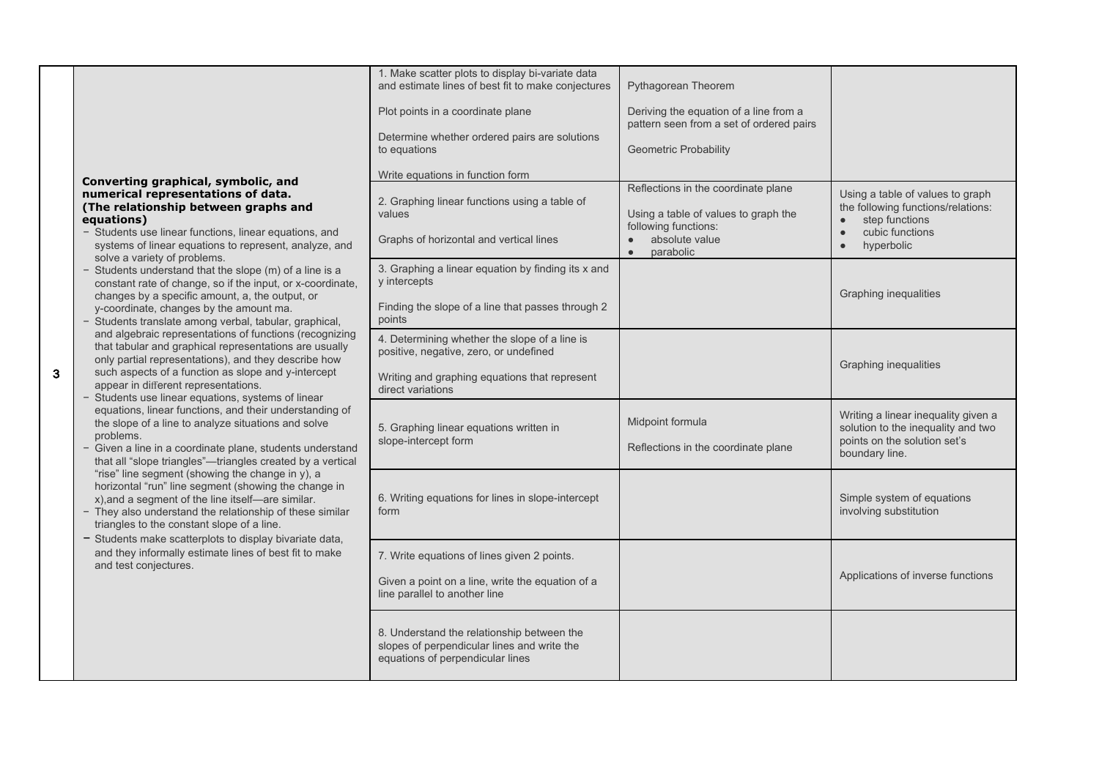|   | Converting graphical, symbolic, and<br>numerical representations of data.<br>(The relationship between graphs and<br>equations)<br>- Students use linear functions, linear equations, and<br>systems of linear equations to represent, analyze, and<br>solve a variety of problems.<br>- Students understand that the slope (m) of a line is a<br>constant rate of change, so if the input, or x-coordinate,<br>changes by a specific amount, a, the output, or<br>y-coordinate, changes by the amount ma.<br>- Students translate among verbal, tabular, graphical,<br>and algebraic representations of functions (recognizing<br>that tabular and graphical representations are usually<br>only partial representations), and they describe how<br>such aspects of a function as slope and y-intercept<br>appear in different representations.<br>- Students use linear equations, systems of linear<br>equations, linear functions, and their understanding of<br>the slope of a line to analyze situations and solve<br>problems.<br>- Given a line in a coordinate plane, students understand<br>that all "slope triangles"-triangles created by a vertical<br>"rise" line segment (showing the change in y), a<br>horizontal "run" line segment (showing the change in<br>x), and a segment of the line itself-are similar.<br>- They also understand the relationship of these similar<br>triangles to the constant slope of a line.<br>- Students make scatterplots to display bivariate data,<br>and they informally estimate lines of best fit to make<br>and test conjectures. | 1. Make scatter plots to display bi-variate data<br>and estimate lines of best fit to make conjectures<br>Plot points in a coordinate plane<br>Determine whether ordered pairs are solutions<br>to equations<br>Write equations in function form | Pythagorean Theorem<br>Deriving the equation of a line from a<br>pattern seen from a set of ordered pairs<br><b>Geometric Probability</b><br>Reflections in the coordinate plane | Using a table of values to graph                                                                                            |
|---|-------------------------------------------------------------------------------------------------------------------------------------------------------------------------------------------------------------------------------------------------------------------------------------------------------------------------------------------------------------------------------------------------------------------------------------------------------------------------------------------------------------------------------------------------------------------------------------------------------------------------------------------------------------------------------------------------------------------------------------------------------------------------------------------------------------------------------------------------------------------------------------------------------------------------------------------------------------------------------------------------------------------------------------------------------------------------------------------------------------------------------------------------------------------------------------------------------------------------------------------------------------------------------------------------------------------------------------------------------------------------------------------------------------------------------------------------------------------------------------------------------------------------------------------------------------------------------------------|--------------------------------------------------------------------------------------------------------------------------------------------------------------------------------------------------------------------------------------------------|----------------------------------------------------------------------------------------------------------------------------------------------------------------------------------|-----------------------------------------------------------------------------------------------------------------------------|
|   |                                                                                                                                                                                                                                                                                                                                                                                                                                                                                                                                                                                                                                                                                                                                                                                                                                                                                                                                                                                                                                                                                                                                                                                                                                                                                                                                                                                                                                                                                                                                                                                           | 2. Graphing linear functions using a table of<br>values<br>Graphs of horizontal and vertical lines                                                                                                                                               | Using a table of values to graph the<br>following functions:<br>absolute value<br>parabolic                                                                                      | the following functions/relations:<br>step functions<br>cubic functions<br>$\bullet$<br>hyperbolic                          |
|   |                                                                                                                                                                                                                                                                                                                                                                                                                                                                                                                                                                                                                                                                                                                                                                                                                                                                                                                                                                                                                                                                                                                                                                                                                                                                                                                                                                                                                                                                                                                                                                                           | 3. Graphing a linear equation by finding its x and<br>y intercepts<br>Finding the slope of a line that passes through 2<br>points                                                                                                                |                                                                                                                                                                                  | Graphing inequalities                                                                                                       |
| 3 |                                                                                                                                                                                                                                                                                                                                                                                                                                                                                                                                                                                                                                                                                                                                                                                                                                                                                                                                                                                                                                                                                                                                                                                                                                                                                                                                                                                                                                                                                                                                                                                           | 4. Determining whether the slope of a line is<br>positive, negative, zero, or undefined<br>Writing and graphing equations that represent<br>direct variations                                                                                    |                                                                                                                                                                                  | Graphing inequalities                                                                                                       |
|   |                                                                                                                                                                                                                                                                                                                                                                                                                                                                                                                                                                                                                                                                                                                                                                                                                                                                                                                                                                                                                                                                                                                                                                                                                                                                                                                                                                                                                                                                                                                                                                                           | 5. Graphing linear equations written in<br>slope-intercept form                                                                                                                                                                                  | Midpoint formula<br>Reflections in the coordinate plane                                                                                                                          | Writing a linear inequality given a<br>solution to the inequality and two<br>points on the solution set's<br>boundary line. |
|   |                                                                                                                                                                                                                                                                                                                                                                                                                                                                                                                                                                                                                                                                                                                                                                                                                                                                                                                                                                                                                                                                                                                                                                                                                                                                                                                                                                                                                                                                                                                                                                                           | 6. Writing equations for lines in slope-intercept<br>form                                                                                                                                                                                        |                                                                                                                                                                                  | Simple system of equations<br>involving substitution                                                                        |
|   |                                                                                                                                                                                                                                                                                                                                                                                                                                                                                                                                                                                                                                                                                                                                                                                                                                                                                                                                                                                                                                                                                                                                                                                                                                                                                                                                                                                                                                                                                                                                                                                           | 7. Write equations of lines given 2 points.<br>Given a point on a line, write the equation of a<br>line parallel to another line                                                                                                                 |                                                                                                                                                                                  | Applications of inverse functions                                                                                           |
|   |                                                                                                                                                                                                                                                                                                                                                                                                                                                                                                                                                                                                                                                                                                                                                                                                                                                                                                                                                                                                                                                                                                                                                                                                                                                                                                                                                                                                                                                                                                                                                                                           | 8. Understand the relationship between the<br>slopes of perpendicular lines and write the<br>equations of perpendicular lines                                                                                                                    |                                                                                                                                                                                  |                                                                                                                             |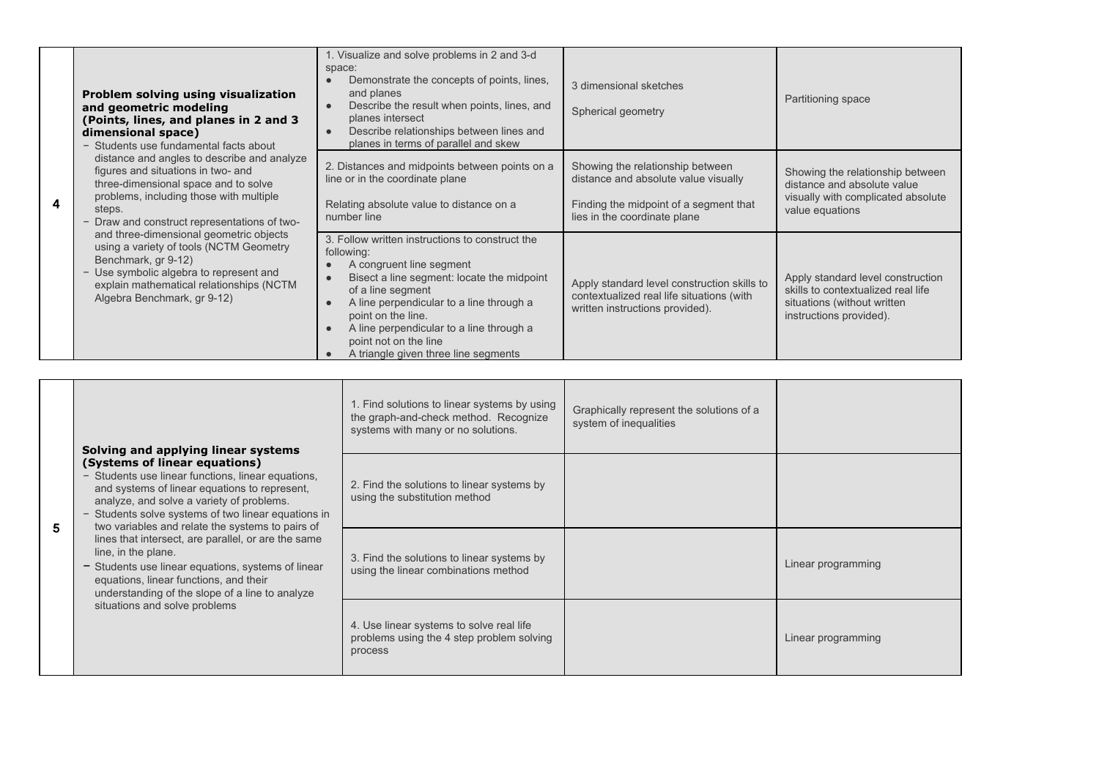| $\overline{\mathbf{4}}$ | Problem solving using visualization<br>and geometric modeling<br>(Points, lines, and planes in 2 and 3<br>dimensional space)<br>- Students use fundamental facts about<br>distance and angles to describe and analyze<br>figures and situations in two- and<br>three-dimensional space and to solve<br>problems, including those with multiple<br>steps.<br>- Draw and construct representations of two-<br>and three-dimensional geometric objects<br>using a variety of tools (NCTM Geometry<br>Benchmark, gr 9-12)<br>- Use symbolic algebra to represent and<br>explain mathematical relationships (NCTM<br>Algebra Benchmark, gr 9-12) | 1. Visualize and solve problems in 2 and 3-d<br>space:<br>Demonstrate the concepts of points, lines,<br>and planes<br>Describe the result when points, lines, and<br>planes intersect<br>Describe relationships between lines and<br>planes in terms of parallel and skew                                                                   | 3 dimensional sketches<br>Spherical geometry                                                                                                       | Partitioning space                                                                                                                |
|-------------------------|---------------------------------------------------------------------------------------------------------------------------------------------------------------------------------------------------------------------------------------------------------------------------------------------------------------------------------------------------------------------------------------------------------------------------------------------------------------------------------------------------------------------------------------------------------------------------------------------------------------------------------------------|---------------------------------------------------------------------------------------------------------------------------------------------------------------------------------------------------------------------------------------------------------------------------------------------------------------------------------------------|----------------------------------------------------------------------------------------------------------------------------------------------------|-----------------------------------------------------------------------------------------------------------------------------------|
|                         |                                                                                                                                                                                                                                                                                                                                                                                                                                                                                                                                                                                                                                             | 2. Distances and midpoints between points on a<br>line or in the coordinate plane<br>Relating absolute value to distance on a<br>number line                                                                                                                                                                                                | Showing the relationship between<br>distance and absolute value visually<br>Finding the midpoint of a segment that<br>lies in the coordinate plane | Showing the relationship between<br>distance and absolute value<br>visually with complicated absolute<br>value equations          |
|                         |                                                                                                                                                                                                                                                                                                                                                                                                                                                                                                                                                                                                                                             | 3. Follow written instructions to construct the<br>following:<br>A congruent line segment<br>Bisect a line segment: locate the midpoint<br>of a line segment<br>A line perpendicular to a line through a<br>point on the line.<br>A line perpendicular to a line through a<br>point not on the line<br>A triangle given three line segments | Apply standard level construction skills to<br>contextualized real life situations (with<br>written instructions provided).                        | Apply standard level construction<br>skills to contextualized real life<br>situations (without written<br>instructions provided). |

|   | Solving and applying linear systems                                                                                                                                                                                                                                                                                                                                                                                                                                                                                                                            | 1. Find solutions to linear systems by using<br>the graph-and-check method. Recognize<br>systems with many or no solutions. | Graphically represent the solutions of a<br>system of inequalities |                    |
|---|----------------------------------------------------------------------------------------------------------------------------------------------------------------------------------------------------------------------------------------------------------------------------------------------------------------------------------------------------------------------------------------------------------------------------------------------------------------------------------------------------------------------------------------------------------------|-----------------------------------------------------------------------------------------------------------------------------|--------------------------------------------------------------------|--------------------|
| 5 | (Systems of linear equations)<br>- Students use linear functions, linear equations,<br>and systems of linear equations to represent.<br>analyze, and solve a variety of problems.<br>- Students solve systems of two linear equations in<br>two variables and relate the systems to pairs of<br>lines that intersect, are parallel, or are the same<br>line, in the plane.<br>- Students use linear equations, systems of linear<br>equations, linear functions, and their<br>understanding of the slope of a line to analyze<br>situations and solve problems | 2. Find the solutions to linear systems by<br>using the substitution method                                                 |                                                                    |                    |
|   |                                                                                                                                                                                                                                                                                                                                                                                                                                                                                                                                                                | 3. Find the solutions to linear systems by<br>using the linear combinations method                                          |                                                                    | Linear programming |
|   |                                                                                                                                                                                                                                                                                                                                                                                                                                                                                                                                                                | 4. Use linear systems to solve real life<br>problems using the 4 step problem solving<br>process                            |                                                                    | Linear programming |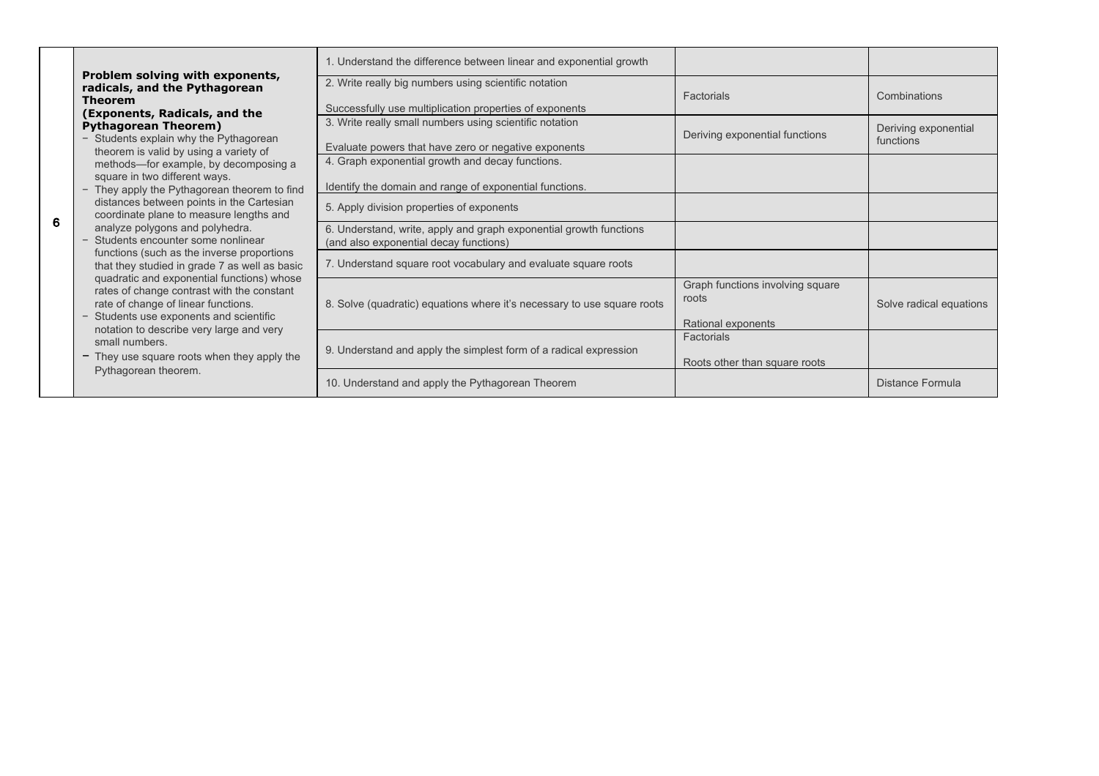|   | Problem solving with exponents,                                                                                                                                                                                                                                                                                                                                                                                                                                                                                                                                                                                                                                                                                                                                                                                                                                                 | 1. Understand the difference between linear and exponential growth                                               |                                                                 |                                   |
|---|---------------------------------------------------------------------------------------------------------------------------------------------------------------------------------------------------------------------------------------------------------------------------------------------------------------------------------------------------------------------------------------------------------------------------------------------------------------------------------------------------------------------------------------------------------------------------------------------------------------------------------------------------------------------------------------------------------------------------------------------------------------------------------------------------------------------------------------------------------------------------------|------------------------------------------------------------------------------------------------------------------|-----------------------------------------------------------------|-----------------------------------|
|   | radicals, and the Pythagorean<br>Theorem<br>(Exponents, Radicals, and the<br><b>Pythagorean Theorem)</b><br>Students explain why the Pythagorean<br>theorem is valid by using a variety of<br>methods-for example, by decomposing a<br>square in two different ways.<br>- They apply the Pythagorean theorem to find<br>distances between points in the Cartesian<br>coordinate plane to measure lengths and<br>analyze polygons and polyhedra.<br>- Students encounter some nonlinear<br>functions (such as the inverse proportions)<br>that they studied in grade 7 as well as basic<br>quadratic and exponential functions) whose<br>rates of change contrast with the constant<br>rate of change of linear functions.<br>Students use exponents and scientific<br>notation to describe very large and very<br>small numbers.<br>- They use square roots when they apply the | 2. Write really big numbers using scientific notation<br>Successfully use multiplication properties of exponents | Factorials                                                      | Combinations                      |
|   |                                                                                                                                                                                                                                                                                                                                                                                                                                                                                                                                                                                                                                                                                                                                                                                                                                                                                 | 3. Write really small numbers using scientific notation<br>Evaluate powers that have zero or negative exponents  | Deriving exponential functions                                  | Deriving exponential<br>functions |
|   |                                                                                                                                                                                                                                                                                                                                                                                                                                                                                                                                                                                                                                                                                                                                                                                                                                                                                 | 4. Graph exponential growth and decay functions.<br>Identify the domain and range of exponential functions.      |                                                                 |                                   |
| 6 |                                                                                                                                                                                                                                                                                                                                                                                                                                                                                                                                                                                                                                                                                                                                                                                                                                                                                 | 5. Apply division properties of exponents                                                                        |                                                                 |                                   |
|   |                                                                                                                                                                                                                                                                                                                                                                                                                                                                                                                                                                                                                                                                                                                                                                                                                                                                                 | 6. Understand, write, apply and graph exponential growth functions<br>(and also exponential decay functions)     |                                                                 |                                   |
|   |                                                                                                                                                                                                                                                                                                                                                                                                                                                                                                                                                                                                                                                                                                                                                                                                                                                                                 | 7. Understand square root vocabulary and evaluate square roots                                                   |                                                                 |                                   |
|   |                                                                                                                                                                                                                                                                                                                                                                                                                                                                                                                                                                                                                                                                                                                                                                                                                                                                                 | 8. Solve (quadratic) equations where it's necessary to use square roots                                          | Graph functions involving square<br>roots<br>Rational exponents | Solve radical equations           |
|   |                                                                                                                                                                                                                                                                                                                                                                                                                                                                                                                                                                                                                                                                                                                                                                                                                                                                                 | 9. Understand and apply the simplest form of a radical expression                                                | Factorials<br>Roots other than square roots                     |                                   |
|   | Pythagorean theorem.                                                                                                                                                                                                                                                                                                                                                                                                                                                                                                                                                                                                                                                                                                                                                                                                                                                            | 10. Understand and apply the Pythagorean Theorem                                                                 |                                                                 | Distance Formula                  |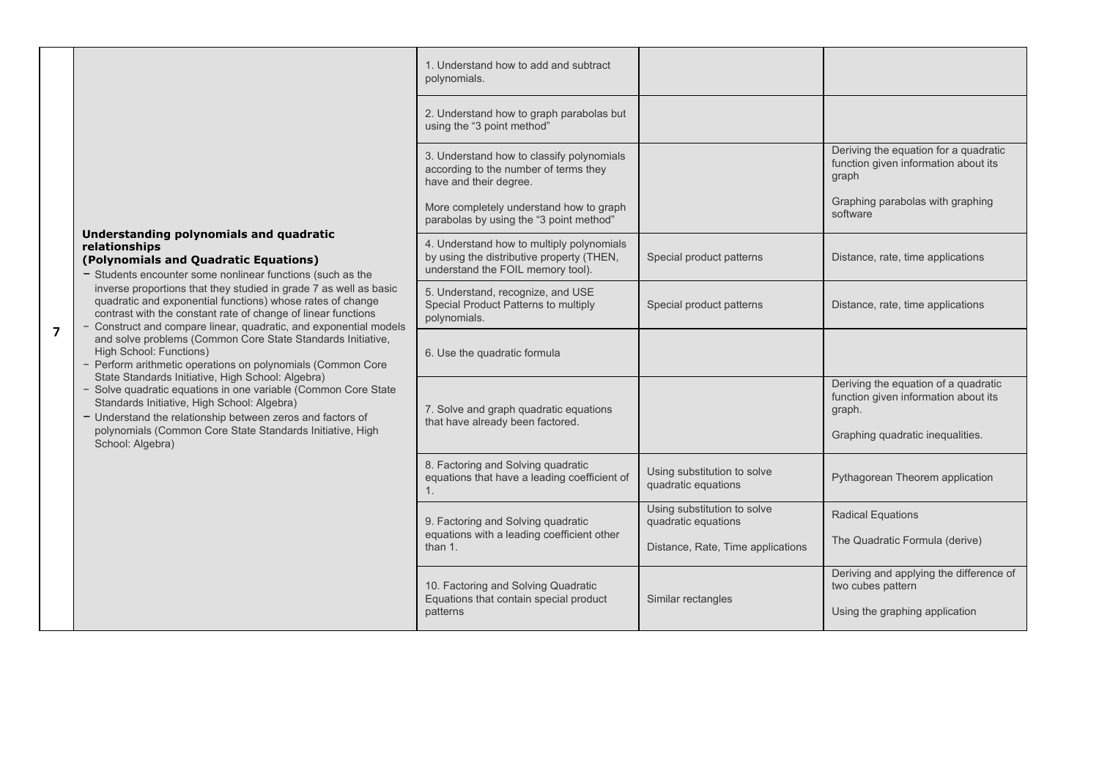|                |                                                                                                                                                                                                                                                                                                                                                                                                                                          | 1. Understand how to add and subtract<br>polynomials.                                                                       |                                                    |                                                                                                |
|----------------|------------------------------------------------------------------------------------------------------------------------------------------------------------------------------------------------------------------------------------------------------------------------------------------------------------------------------------------------------------------------------------------------------------------------------------------|-----------------------------------------------------------------------------------------------------------------------------|----------------------------------------------------|------------------------------------------------------------------------------------------------|
|                |                                                                                                                                                                                                                                                                                                                                                                                                                                          | 2. Understand how to graph parabolas but<br>using the "3 point method"                                                      |                                                    |                                                                                                |
|                |                                                                                                                                                                                                                                                                                                                                                                                                                                          | 3. Understand how to classify polynomials<br>according to the number of terms they<br>have and their degree.                |                                                    | Deriving the equation for a quadratic<br>function given information about its<br>graph         |
|                |                                                                                                                                                                                                                                                                                                                                                                                                                                          | More completely understand how to graph<br>parabolas by using the "3 point method"                                          |                                                    | Graphing parabolas with graphing<br>software                                                   |
|                | Understanding polynomials and quadratic<br>relationships<br>(Polynomials and Quadratic Equations)<br>- Students encounter some nonlinear functions (such as the<br>inverse proportions that they studied in grade 7 as well as basic<br>quadratic and exponential functions) whose rates of change<br>contrast with the constant rate of change of linear functions<br>- Construct and compare linear, quadratic, and exponential models | 4. Understand how to multiply polynomials<br>by using the distributive property (THEN,<br>understand the FOIL memory tool). | Special product patterns                           | Distance, rate, time applications                                                              |
|                |                                                                                                                                                                                                                                                                                                                                                                                                                                          | 5. Understand, recognize, and USE<br>Special Product Patterns to multiply<br>polynomials.                                   | Special product patterns                           | Distance, rate, time applications                                                              |
| $\overline{7}$ | and solve problems (Common Core State Standards Initiative,<br>High School: Functions)<br>- Perform arithmetic operations on polynomials (Common Core                                                                                                                                                                                                                                                                                    | 6. Use the quadratic formula                                                                                                |                                                    |                                                                                                |
|                | State Standards Initiative, High School: Algebra)<br>- Solve quadratic equations in one variable (Common Core State<br>Standards Initiative, High School: Algebra)<br>- Understand the relationship between zeros and factors of<br>polynomials (Common Core State Standards Initiative, High<br>School: Algebra)                                                                                                                        | 7. Solve and graph quadratic equations<br>that have already been factored.                                                  |                                                    | Deriving the equation of a quadratic<br>function given information about its<br>graph.         |
|                |                                                                                                                                                                                                                                                                                                                                                                                                                                          |                                                                                                                             |                                                    | Graphing quadratic inequalities.                                                               |
|                |                                                                                                                                                                                                                                                                                                                                                                                                                                          | 8. Factoring and Solving quadratic<br>equations that have a leading coefficient of<br>1 <sub>1</sub>                        | Using substitution to solve<br>quadratic equations | Pythagorean Theorem application                                                                |
|                |                                                                                                                                                                                                                                                                                                                                                                                                                                          | 9. Factoring and Solving quadratic                                                                                          | Using substitution to solve<br>quadratic equations | <b>Radical Equations</b>                                                                       |
|                |                                                                                                                                                                                                                                                                                                                                                                                                                                          | equations with a leading coefficient other<br>than $1.$                                                                     | Distance, Rate, Time applications                  | The Quadratic Formula (derive)                                                                 |
|                |                                                                                                                                                                                                                                                                                                                                                                                                                                          | 10. Factoring and Solving Quadratic<br>Equations that contain special product<br>patterns                                   | Similar rectangles                                 | Deriving and applying the difference of<br>two cubes pattern<br>Using the graphing application |
|                |                                                                                                                                                                                                                                                                                                                                                                                                                                          |                                                                                                                             |                                                    |                                                                                                |